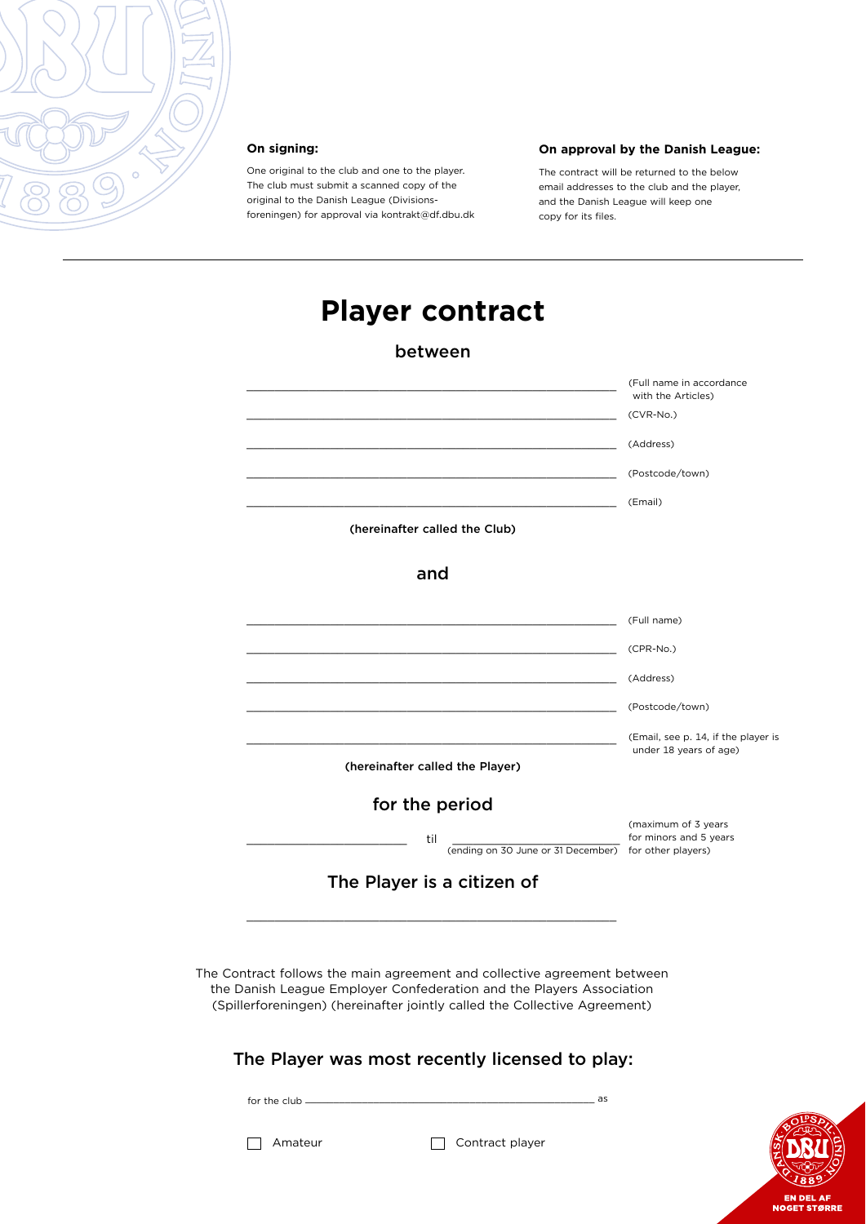

#### **On signing:**

One original to the club and one to the player. The club must submit a scanned copy of the original to the Danish League (Divisionsforeningen) for approval via kontrakt@df.dbu.dk

#### **On approval by the Danish League:**

The contract will be returned to the below email addresses to the club and the player, and the Danish League will keep one copy for its files.

# **Player contract**

#### between

|                                                                                                                                                                                                                               | (Full name in accordance<br>with the Articles)                |
|-------------------------------------------------------------------------------------------------------------------------------------------------------------------------------------------------------------------------------|---------------------------------------------------------------|
|                                                                                                                                                                                                                               | (CVR-No.)                                                     |
|                                                                                                                                                                                                                               | (Address)                                                     |
|                                                                                                                                                                                                                               | (Postcode/town)                                               |
|                                                                                                                                                                                                                               | (Email)                                                       |
| (hereinafter called the Club)                                                                                                                                                                                                 |                                                               |
| and                                                                                                                                                                                                                           |                                                               |
|                                                                                                                                                                                                                               | (Full name)                                                   |
|                                                                                                                                                                                                                               | (CPR-No.)                                                     |
|                                                                                                                                                                                                                               | (Address)                                                     |
|                                                                                                                                                                                                                               | (Postcode/town)                                               |
|                                                                                                                                                                                                                               | (Email, see p. 14, if the player is<br>under 18 years of age) |
| (hereinafter called the Player)                                                                                                                                                                                               |                                                               |
| for the period                                                                                                                                                                                                                |                                                               |
| til<br>(ending on 30 June or 31 December) for other players)                                                                                                                                                                  | (maximum of 3 years<br>for minors and 5 years                 |
| The Player is a citizen of                                                                                                                                                                                                    |                                                               |
|                                                                                                                                                                                                                               |                                                               |
| The Contract follows the main agreement and collective agreement between<br>the Danish League Employer Confederation and the Players Association<br>(Spillerforeningen) (hereinafter jointly called the Collective Agreement) |                                                               |
| The Player was most recently licensed to play:                                                                                                                                                                                |                                                               |

 $for the club \_\_$ 

Amateur Contract player

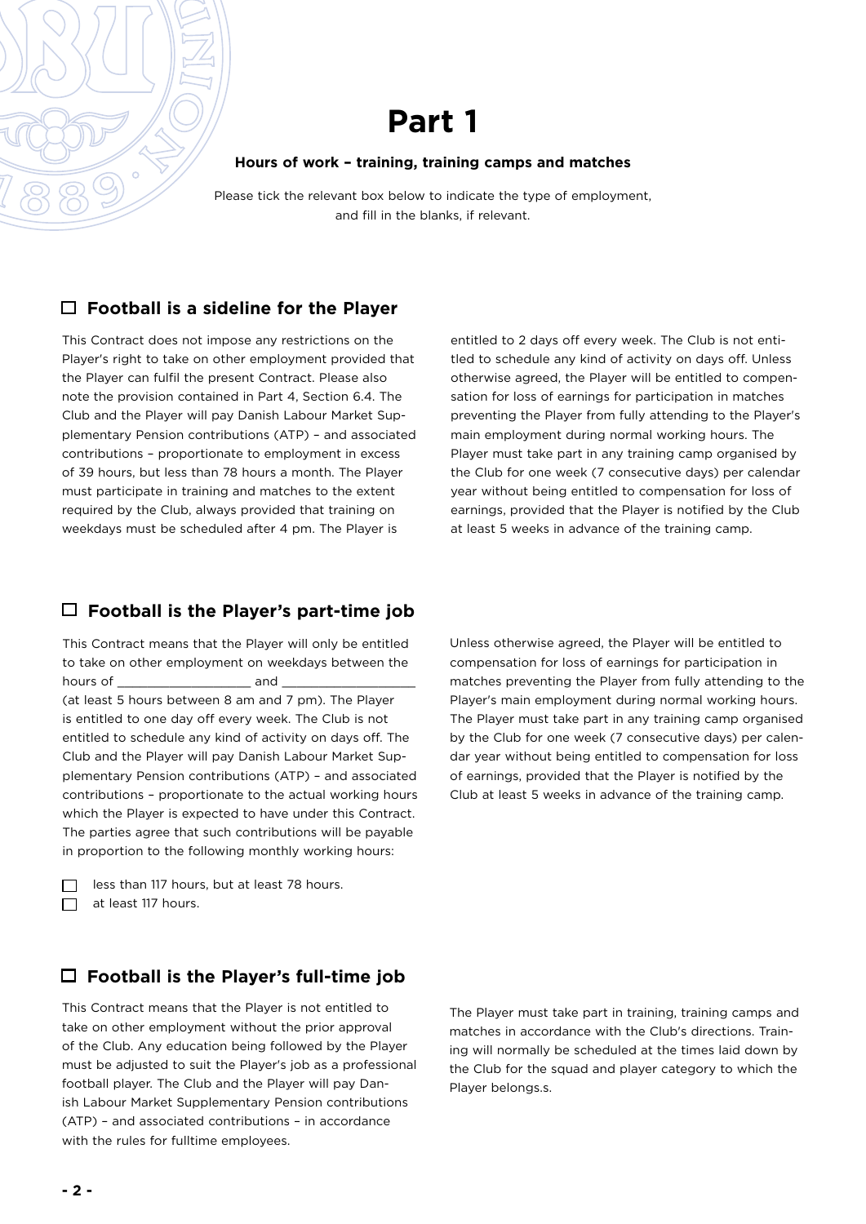#### **Hours of work – training, training camps and matches**

Please tick the relevant box below to indicate the type of employment, and fill in the blanks, if relevant.

# **Football is a sideline for the Player**

This Contract does not impose any restrictions on the Player's right to take on other employment provided that the Player can fulfil the present Contract. Please also note the provision contained in Part 4, Section 6.4. The Club and the Player will pay Danish Labour Market Supplementary Pension contributions (ATP) – and associated contributions – proportionate to employment in excess of 39 hours, but less than 78 hours a month. The Player must participate in training and matches to the extent required by the Club, always provided that training on weekdays must be scheduled after 4 pm. The Player is

entitled to 2 days off every week. The Club is not entitled to schedule any kind of activity on days off. Unless otherwise agreed, the Player will be entitled to compensation for loss of earnings for participation in matches preventing the Player from fully attending to the Player's main employment during normal working hours. The Player must take part in any training camp organised by the Club for one week (7 consecutive days) per calendar year without being entitled to compensation for loss of earnings, provided that the Player is notified by the Club at least 5 weeks in advance of the training camp.

# **Football is the Player's part-time job**

This Contract means that the Player will only be entitled to take on other employment on weekdays between the hours of **and** and  $\overline{a}$ (at least 5 hours between 8 am and 7 pm). The Player is entitled to one day off every week. The Club is not entitled to schedule any kind of activity on days off. The Club and the Player will pay Danish Labour Market Supplementary Pension contributions (ATP) – and associated contributions – proportionate to the actual working hours which the Player is expected to have under this Contract. The parties agree that such contributions will be payable in proportion to the following monthly working hours:

| less than 117 hours, but at least 78 hours. |
|---------------------------------------------|
| $\Box$ at least 117 hours.                  |

compensation for loss of earnings for participation in matches preventing the Player from fully attending to the Player's main employment during normal working hours. The Player must take part in any training camp organised by the Club for one week (7 consecutive days) per calendar year without being entitled to compensation for loss of earnings, provided that the Player is notified by the Club at least 5 weeks in advance of the training camp.

Unless otherwise agreed, the Player will be entitled to

# **Football is the Player's full-time job**

This Contract means that the Player is not entitled to take on other employment without the prior approval of the Club. Any education being followed by the Player must be adjusted to suit the Player's job as a professional football player. The Club and the Player will pay Danish Labour Market Supplementary Pension contributions (ATP) – and associated contributions – in accordance with the rules for fulltime employees.

The Player must take part in training, training camps and matches in accordance with the Club's directions. Training will normally be scheduled at the times laid down by the Club for the squad and player category to which the Player belongs.s.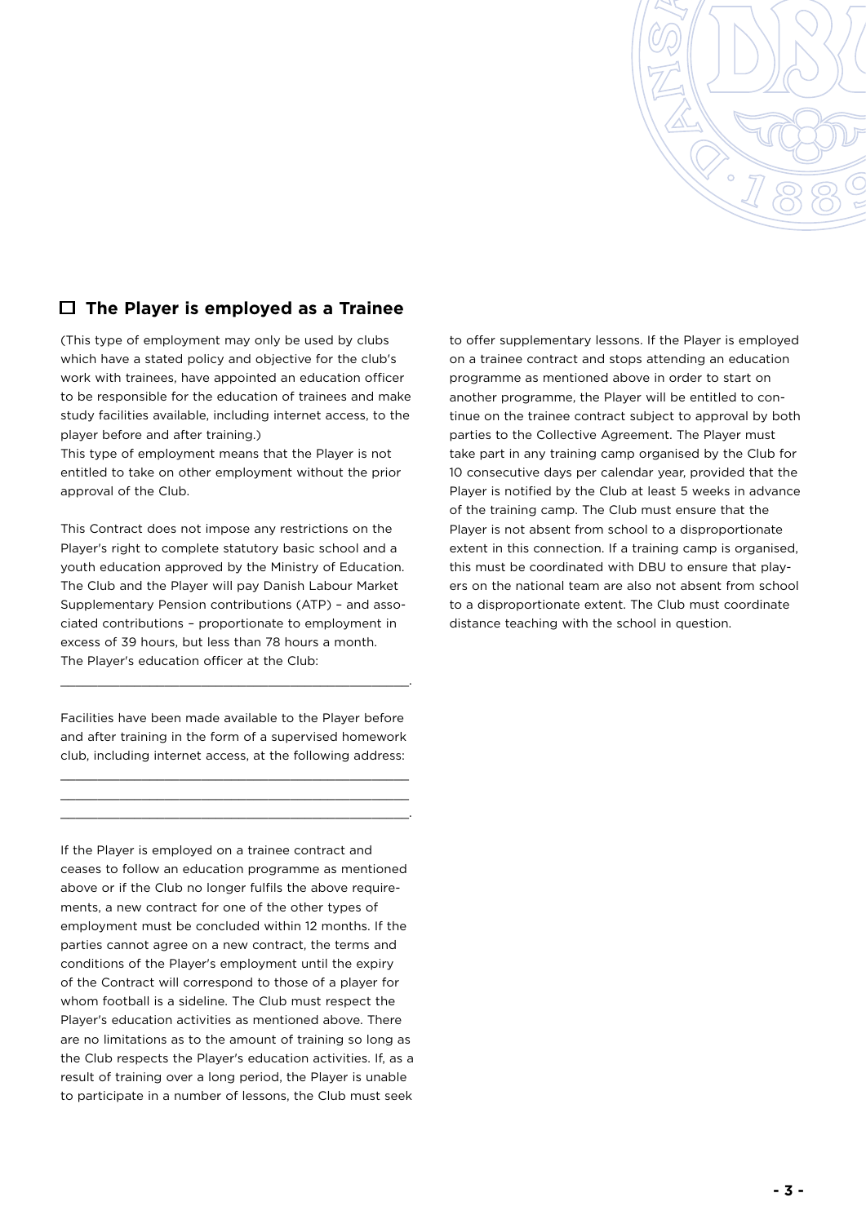

### **The Player is employed as a Trainee**

(This type of employment may only be used by clubs which have a stated policy and objective for the club's work with trainees, have appointed an education officer to be responsible for the education of trainees and make study facilities available, including internet access, to the player before and after training.)

This type of employment means that the Player is not entitled to take on other employment without the prior approval of the Club.

This Contract does not impose any restrictions on the Player's right to complete statutory basic school and a youth education approved by the Ministry of Education. The Club and the Player will pay Danish Labour Market Supplementary Pension contributions (ATP) – and associated contributions – proportionate to employment in excess of 39 hours, but less than 78 hours a month. The Player's education officer at the Club:

Facilities have been made available to the Player before and after training in the form of a supervised homework club, including internet access, at the following address:

\_\_\_\_\_\_\_\_\_\_\_\_\_\_\_\_\_\_\_\_\_\_\_\_\_\_\_\_\_\_\_\_\_\_\_\_\_\_\_\_\_\_\_\_\_\_\_ \_\_\_\_\_\_\_\_\_\_\_\_\_\_\_\_\_\_\_\_\_\_\_\_\_\_\_\_\_\_\_\_\_\_\_\_\_\_\_\_\_\_\_\_\_\_\_ \_\_\_\_\_\_\_\_\_\_\_\_\_\_\_\_\_\_\_\_\_\_\_\_\_\_\_\_\_\_\_\_\_\_\_\_\_\_\_\_\_\_\_\_\_\_\_.

\_\_\_\_\_\_\_\_\_\_\_\_\_\_\_\_\_\_\_\_\_\_\_\_\_\_\_\_\_\_\_\_\_\_\_\_\_\_\_\_\_\_\_\_\_\_\_.

If the Player is employed on a trainee contract and ceases to follow an education programme as mentioned above or if the Club no longer fulfils the above requirements, a new contract for one of the other types of employment must be concluded within 12 months. If the parties cannot agree on a new contract, the terms and conditions of the Player's employment until the expiry of the Contract will correspond to those of a player for whom football is a sideline. The Club must respect the Player's education activities as mentioned above. There are no limitations as to the amount of training so long as the Club respects the Player's education activities. If, as a result of training over a long period, the Player is unable to participate in a number of lessons, the Club must seek

to offer supplementary lessons. If the Player is employed on a trainee contract and stops attending an education programme as mentioned above in order to start on another programme, the Player will be entitled to continue on the trainee contract subject to approval by both parties to the Collective Agreement. The Player must take part in any training camp organised by the Club for 10 consecutive days per calendar year, provided that the Player is notified by the Club at least 5 weeks in advance of the training camp. The Club must ensure that the Player is not absent from school to a disproportionate extent in this connection. If a training camp is organised, this must be coordinated with DBU to ensure that players on the national team are also not absent from school to a disproportionate extent. The Club must coordinate distance teaching with the school in question.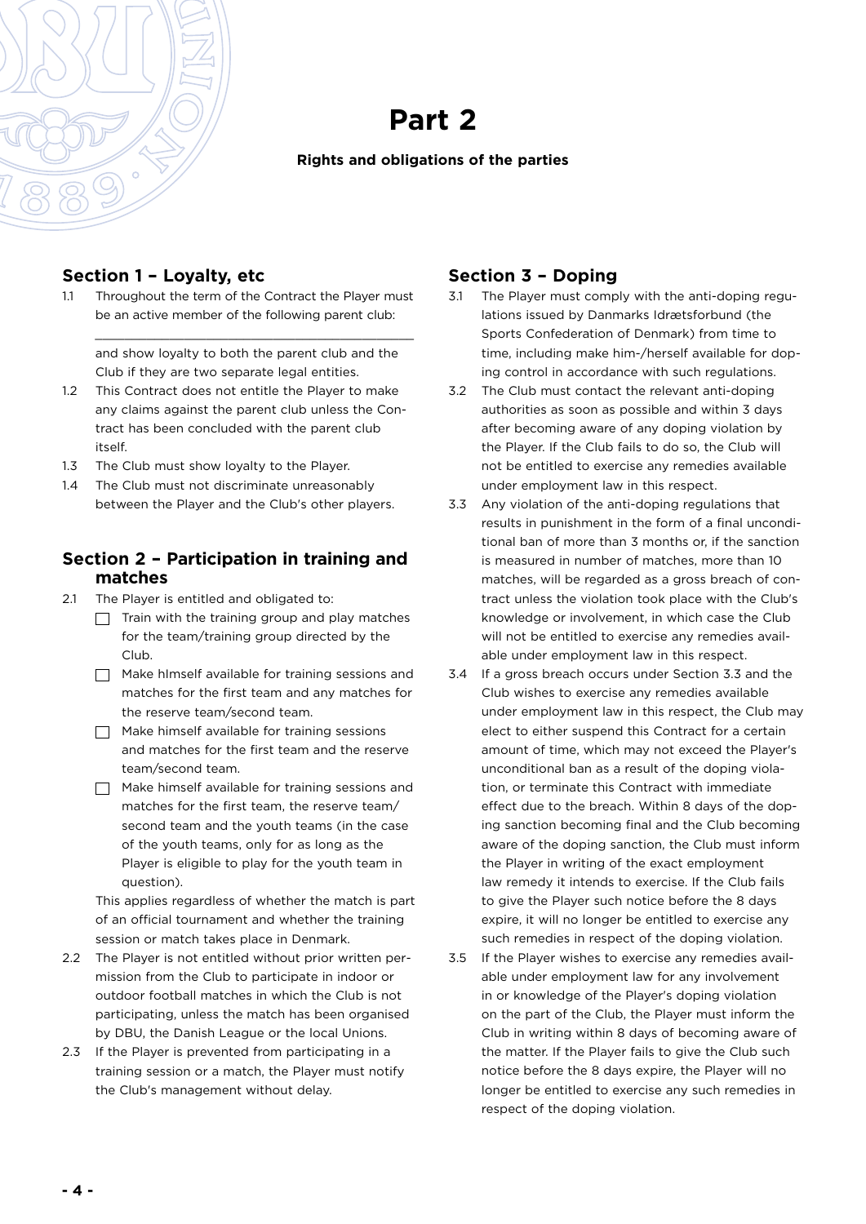

#### **Rights and obligations of the parties**

#### **Section 1 – Loyalty, etc**

1.1 Throughout the term of the Contract the Player must be an active member of the following parent club:

\_\_\_\_\_\_\_\_\_\_\_\_\_\_\_\_\_\_\_\_\_\_\_\_\_\_\_\_\_\_\_\_\_\_\_\_\_\_\_\_\_\_\_

and show loyalty to both the parent club and the Club if they are two separate legal entities.

- 1.2 This Contract does not entitle the Player to make any claims against the parent club unless the Contract has been concluded with the parent club itself.
- 1.3 The Club must show loyalty to the Player.
- 1.4 The Club must not discriminate unreasonably between the Player and the Club's other players.

#### **Section 2 – Participation in training and matches**

- 2.1 The Player is entitled and obligated to:
	- $\Box$  Train with the training group and play matches for the team/training group directed by the Club.
	- $\Box$  Make himself available for training sessions and matches for the first team and any matches for the reserve team/second team.
	- $\Box$  Make himself available for training sessions and matches for the first team and the reserve team/second team.
	- $\Box$  Make himself available for training sessions and matches for the first team, the reserve team/ second team and the youth teams (in the case of the youth teams, only for as long as the Player is eligible to play for the youth team in question).

This applies regardless of whether the match is part of an official tournament and whether the training session or match takes place in Denmark.

- 2.2 The Player is not entitled without prior written permission from the Club to participate in indoor or outdoor football matches in which the Club is not participating, unless the match has been organised by DBU, the Danish League or the local Unions.
- 2.3 If the Player is prevented from participating in a training session or a match, the Player must notify the Club's management without delay.

# **Section 3 – Doping**

- 3.1 The Player must comply with the anti-doping regulations issued by Danmarks Idrætsforbund (the Sports Confederation of Denmark) from time to time, including make him-/herself available for doping control in accordance with such regulations.
- 3.2 The Club must contact the relevant anti-doping authorities as soon as possible and within 3 days after becoming aware of any doping violation by the Player. If the Club fails to do so, the Club will not be entitled to exercise any remedies available under employment law in this respect.
- 3.3 Any violation of the anti-doping regulations that results in punishment in the form of a final unconditional ban of more than 3 months or, if the sanction is measured in number of matches, more than 10 matches, will be regarded as a gross breach of contract unless the violation took place with the Club's knowledge or involvement, in which case the Club will not be entitled to exercise any remedies available under employment law in this respect.
- 3.4 If a gross breach occurs under Section 3.3 and the Club wishes to exercise any remedies available under employment law in this respect, the Club may elect to either suspend this Contract for a certain amount of time, which may not exceed the Player's unconditional ban as a result of the doping violation, or terminate this Contract with immediate effect due to the breach. Within 8 days of the doping sanction becoming final and the Club becoming aware of the doping sanction, the Club must inform the Player in writing of the exact employment law remedy it intends to exercise. If the Club fails to give the Player such notice before the 8 days expire, it will no longer be entitled to exercise any such remedies in respect of the doping violation.
- 3.5 If the Player wishes to exercise any remedies available under employment law for any involvement in or knowledge of the Player's doping violation on the part of the Club, the Player must inform the Club in writing within 8 days of becoming aware of the matter. If the Player fails to give the Club such notice before the 8 days expire, the Player will no longer be entitled to exercise any such remedies in respect of the doping violation.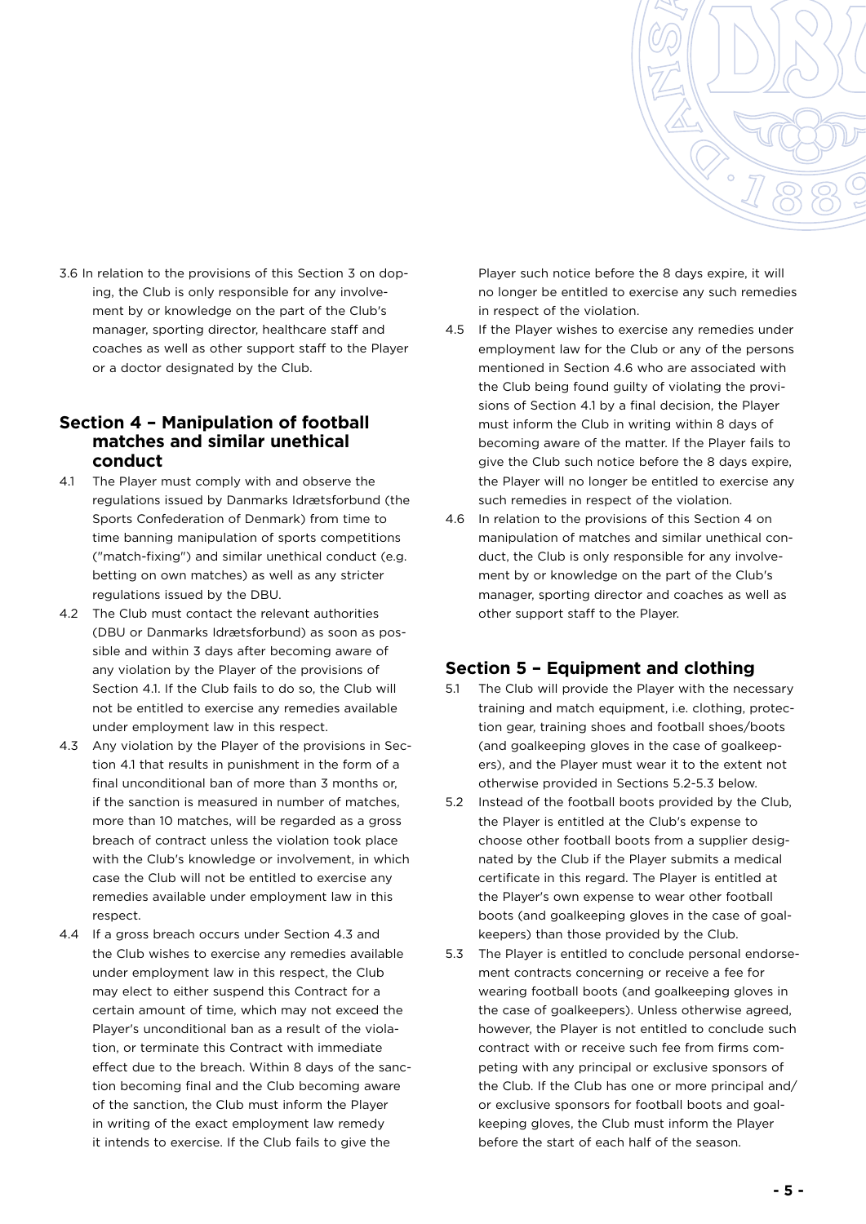

3.6 In relation to the provisions of this Section 3 on doping, the Club is only responsible for any involvement by or knowledge on the part of the Club's manager, sporting director, healthcare staff and coaches as well as other support staff to the Player or a doctor designated by the Club.

#### **Section 4 – Manipulation of football matches and similar unethical conduct**

- 4.1 The Player must comply with and observe the regulations issued by Danmarks Idrætsforbund (the Sports Confederation of Denmark) from time to time banning manipulation of sports competitions ("match-fixing") and similar unethical conduct (e.g. betting on own matches) as well as any stricter regulations issued by the DBU.
- 4.2 The Club must contact the relevant authorities (DBU or Danmarks Idrætsforbund) as soon as possible and within 3 days after becoming aware of any violation by the Player of the provisions of Section 4.1. If the Club fails to do so, the Club will not be entitled to exercise any remedies available under employment law in this respect.
- 4.3 Any violation by the Player of the provisions in Section 4.1 that results in punishment in the form of a final unconditional ban of more than 3 months or, if the sanction is measured in number of matches, more than 10 matches, will be regarded as a gross breach of contract unless the violation took place with the Club's knowledge or involvement, in which case the Club will not be entitled to exercise any remedies available under employment law in this respect.
- 4.4 If a gross breach occurs under Section 4.3 and the Club wishes to exercise any remedies available under employment law in this respect, the Club may elect to either suspend this Contract for a certain amount of time, which may not exceed the Player's unconditional ban as a result of the violation, or terminate this Contract with immediate effect due to the breach. Within 8 days of the sanction becoming final and the Club becoming aware of the sanction, the Club must inform the Player in writing of the exact employment law remedy it intends to exercise. If the Club fails to give the

Player such notice before the 8 days expire, it will no longer be entitled to exercise any such remedies in respect of the violation.

- 4.5 If the Player wishes to exercise any remedies under employment law for the Club or any of the persons mentioned in Section 4.6 who are associated with the Club being found guilty of violating the provisions of Section 4.1 by a final decision, the Player must inform the Club in writing within 8 days of becoming aware of the matter. If the Player fails to give the Club such notice before the 8 days expire, the Player will no longer be entitled to exercise any such remedies in respect of the violation.
- 4.6 In relation to the provisions of this Section 4 on manipulation of matches and similar unethical conduct, the Club is only responsible for any involvement by or knowledge on the part of the Club's manager, sporting director and coaches as well as other support staff to the Player.

#### **Section 5 – Equipment and clothing**

- 5.1 The Club will provide the Player with the necessary training and match equipment, i.e. clothing, protection gear, training shoes and football shoes/boots (and goalkeeping gloves in the case of goalkeepers), and the Player must wear it to the extent not otherwise provided in Sections 5.2-5.3 below.
- 5.2 Instead of the football boots provided by the Club, the Player is entitled at the Club's expense to choose other football boots from a supplier designated by the Club if the Player submits a medical certificate in this regard. The Player is entitled at the Player's own expense to wear other football boots (and goalkeeping gloves in the case of goalkeepers) than those provided by the Club.
- 5.3 The Player is entitled to conclude personal endorsement contracts concerning or receive a fee for wearing football boots (and goalkeeping gloves in the case of goalkeepers). Unless otherwise agreed, however, the Player is not entitled to conclude such contract with or receive such fee from firms competing with any principal or exclusive sponsors of the Club. If the Club has one or more principal and/ or exclusive sponsors for football boots and goalkeeping gloves, the Club must inform the Player before the start of each half of the season.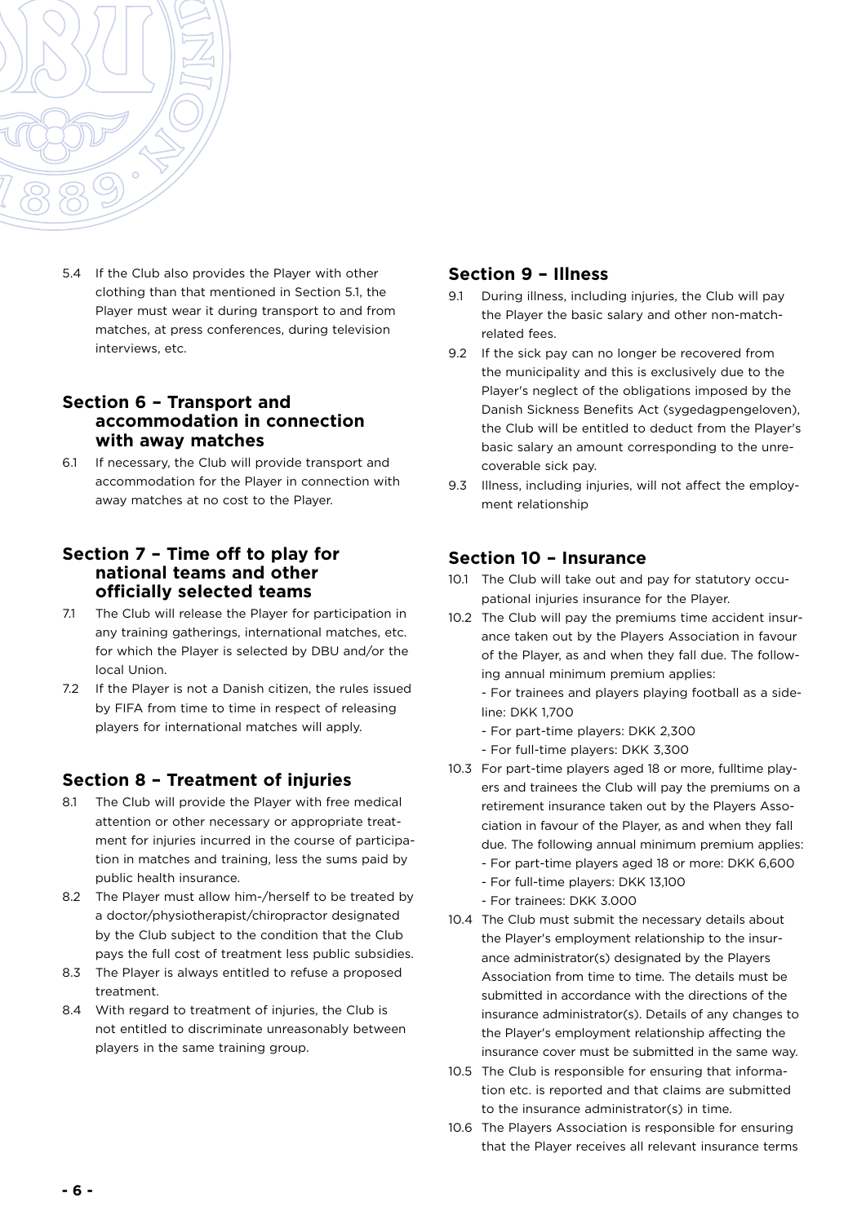

5.4 If the Club also provides the Player with other clothing than that mentioned in Section 5.1, the Player must wear it during transport to and from matches, at press conferences, during television interviews, etc.

#### **Section 6 – Transport and accommodation in connection with away matches**

6.1 If necessary, the Club will provide transport and accommodation for the Player in connection with away matches at no cost to the Player.

#### **Section 7 – Time off to play for national teams and other officially selected teams**

- 7.1 The Club will release the Player for participation in any training gatherings, international matches, etc. for which the Player is selected by DBU and/or the local Union.
- 7.2 If the Player is not a Danish citizen, the rules issued by FIFA from time to time in respect of releasing players for international matches will apply.

# **Section 8 – Treatment of injuries**

- 8.1 The Club will provide the Player with free medical attention or other necessary or appropriate treatment for injuries incurred in the course of participation in matches and training, less the sums paid by public health insurance.
- 8.2 The Player must allow him-/herself to be treated by a doctor/physiotherapist/chiropractor designated by the Club subject to the condition that the Club pays the full cost of treatment less public subsidies.
- 8.3 The Player is always entitled to refuse a proposed treatment.
- 8.4 With regard to treatment of injuries, the Club is not entitled to discriminate unreasonably between players in the same training group.

#### **Section 9 – Illness**

- 9.1 During illness, including injuries, the Club will pay the Player the basic salary and other non-matchrelated fees.
- 9.2 If the sick pay can no longer be recovered from the municipality and this is exclusively due to the Player's neglect of the obligations imposed by the Danish Sickness Benefits Act (sygedagpengeloven), the Club will be entitled to deduct from the Player's basic salary an amount corresponding to the unrecoverable sick pay.
- 9.3 Illness, including injuries, will not affect the employment relationship

### **Section 10 – Insurance**

- 10.1 The Club will take out and pay for statutory occupational injuries insurance for the Player.
- 10.2 The Club will pay the premiums time accident insurance taken out by the Players Association in favour of the Player, as and when they fall due. The following annual minimum premium applies:
	- For trainees and players playing football as a sideline: DKK 1,700
	- For part-time players: DKK 2,300
	- For full-time players: DKK 3,300
- 10.3 For part-time players aged 18 or more, fulltime players and trainees the Club will pay the premiums on a retirement insurance taken out by the Players Association in favour of the Player, as and when they fall due. The following annual minimum premium applies:
	- For part-time players aged 18 or more: DKK 6,600 - For full-time players: DKK 13,100
	- For trainees: DKK 3.000
- 10.4 The Club must submit the necessary details about the Player's employment relationship to the insurance administrator(s) designated by the Players Association from time to time. The details must be submitted in accordance with the directions of the insurance administrator(s). Details of any changes to the Player's employment relationship affecting the insurance cover must be submitted in the same way.
- 10.5 The Club is responsible for ensuring that information etc. is reported and that claims are submitted to the insurance administrator(s) in time.
- 10.6 The Players Association is responsible for ensuring that the Player receives all relevant insurance terms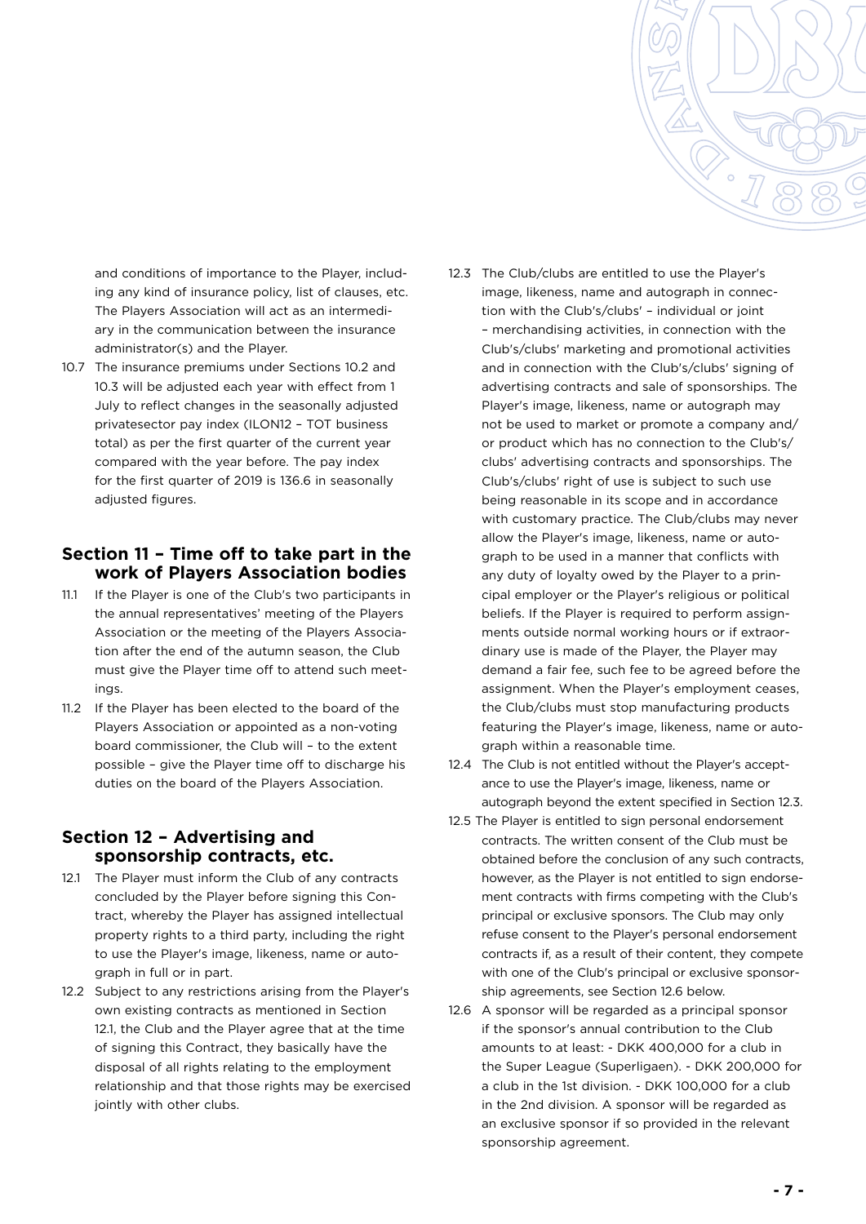

and conditions of importance to the Player, including any kind of insurance policy, list of clauses, etc. The Players Association will act as an intermediary in the communication between the insurance administrator(s) and the Player.

10.7 The insurance premiums under Sections 10.2 and 10.3 will be adjusted each year with effect from 1 July to reflect changes in the seasonally adjusted privatesector pay index (ILON12 – TOT business total) as per the first quarter of the current year compared with the year before. The pay index for the first quarter of 2019 is 136.6 in seasonally adjusted figures.

#### **Section 11 – Time off to take part in the work of Players Association bodies**

- 11.1 If the Player is one of the Club's two participants in the annual representatives' meeting of the Players Association or the meeting of the Players Association after the end of the autumn season, the Club must give the Player time off to attend such meetings.
- 11.2 If the Player has been elected to the board of the Players Association or appointed as a non-voting board commissioner, the Club will – to the extent possible – give the Player time off to discharge his duties on the board of the Players Association.

#### **Section 12 – Advertising and sponsorship contracts, etc.**

- 12.1 The Player must inform the Club of any contracts concluded by the Player before signing this Contract, whereby the Player has assigned intellectual property rights to a third party, including the right to use the Player's image, likeness, name or autograph in full or in part.
- 12.2 Subject to any restrictions arising from the Player's own existing contracts as mentioned in Section 12.1, the Club and the Player agree that at the time of signing this Contract, they basically have the disposal of all rights relating to the employment relationship and that those rights may be exercised jointly with other clubs.
- 12.3 The Club/clubs are entitled to use the Player's image, likeness, name and autograph in connection with the Club's/clubs' – individual or joint – merchandising activities, in connection with the Club's/clubs' marketing and promotional activities and in connection with the Club's/clubs' signing of advertising contracts and sale of sponsorships. The Player's image, likeness, name or autograph may not be used to market or promote a company and/ or product which has no connection to the Club's/ clubs' advertising contracts and sponsorships. The Club's/clubs' right of use is subject to such use being reasonable in its scope and in accordance with customary practice. The Club/clubs may never allow the Player's image, likeness, name or autograph to be used in a manner that conflicts with any duty of loyalty owed by the Player to a principal employer or the Player's religious or political beliefs. If the Player is required to perform assignments outside normal working hours or if extraordinary use is made of the Player, the Player may demand a fair fee, such fee to be agreed before the assignment. When the Player's employment ceases, the Club/clubs must stop manufacturing products featuring the Player's image, likeness, name or autograph within a reasonable time.
- 12.4 The Club is not entitled without the Player's acceptance to use the Player's image, likeness, name or autograph beyond the extent specified in Section 12.3.
- 12.5 The Player is entitled to sign personal endorsement contracts. The written consent of the Club must be obtained before the conclusion of any such contracts, however, as the Player is not entitled to sign endorsement contracts with firms competing with the Club's principal or exclusive sponsors. The Club may only refuse consent to the Player's personal endorsement contracts if, as a result of their content, they compete with one of the Club's principal or exclusive sponsorship agreements, see Section 12.6 below.
- 12.6 A sponsor will be regarded as a principal sponsor if the sponsor's annual contribution to the Club amounts to at least: - DKK 400,000 for a club in the Super League (Superligaen). - DKK 200,000 for a club in the 1st division. - DKK 100,000 for a club in the 2nd division. A sponsor will be regarded as an exclusive sponsor if so provided in the relevant sponsorship agreement.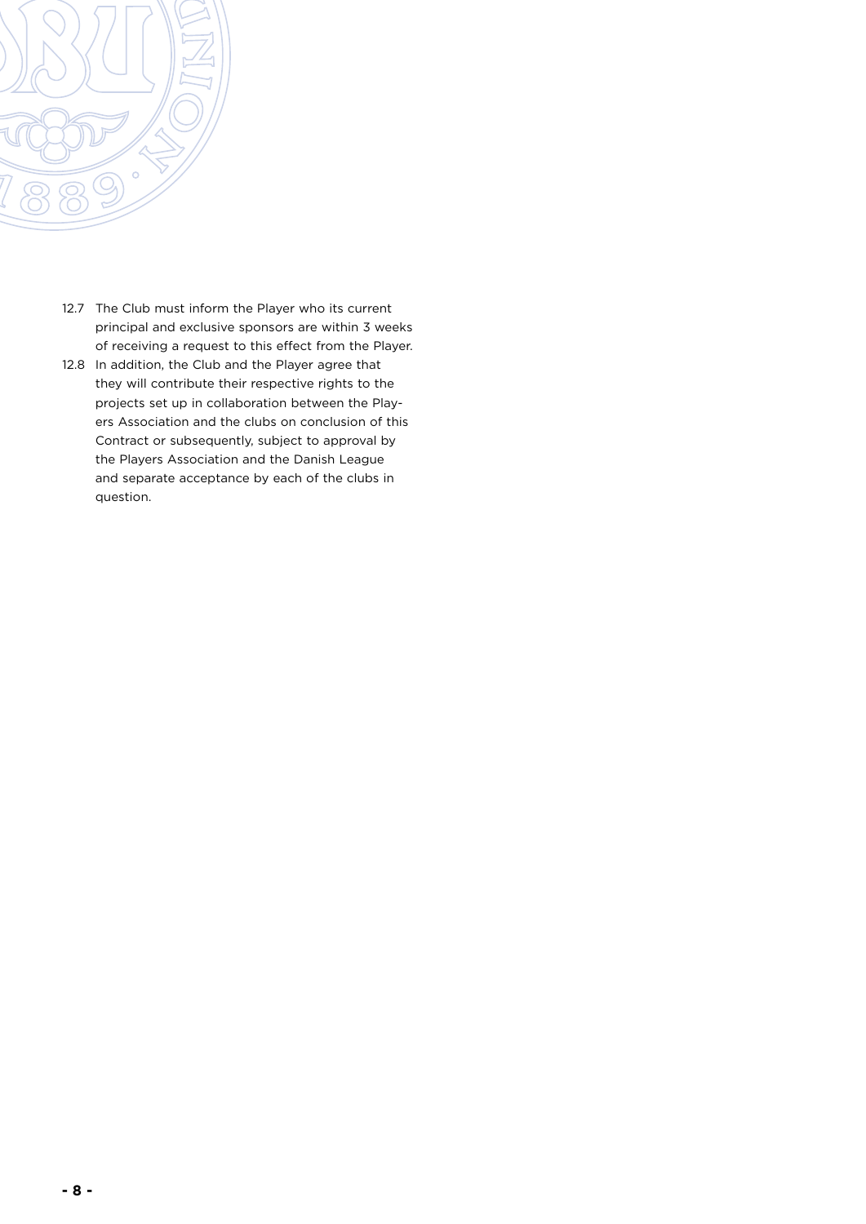

- 12.7 The Club must inform the Player who its current principal and exclusive sponsors are within 3 weeks of receiving a request to this effect from the Player.
- 12.8 In addition, the Club and the Player agree that they will contribute their respective rights to the projects set up in collaboration between the Players Association and the clubs on conclusion of this Contract or subsequently, subject to approval by the Players Association and the Danish League and separate acceptance by each of the clubs in question.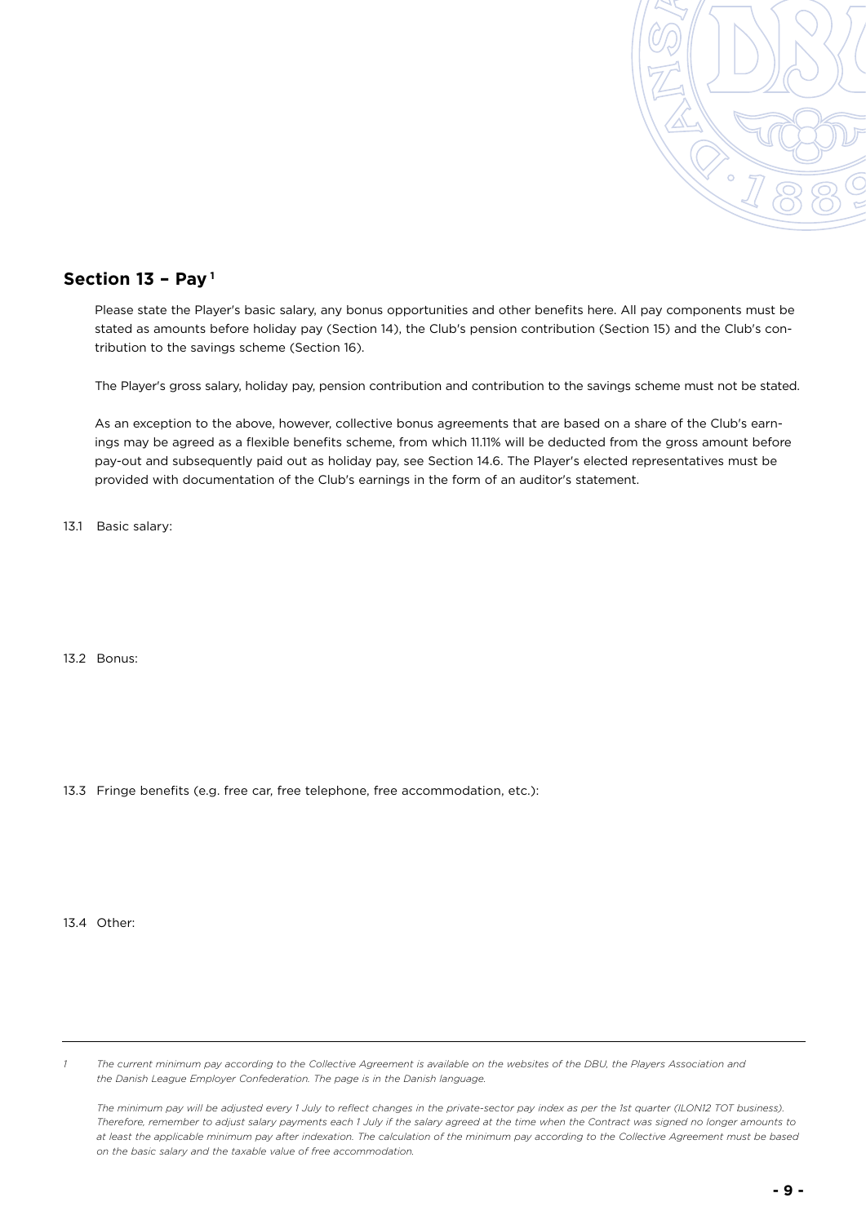

### **Section 13 – Pay 1**

Please state the Player's basic salary, any bonus opportunities and other benefits here. All pay components must be stated as amounts before holiday pay (Section 14), the Club's pension contribution (Section 15) and the Club's contribution to the savings scheme (Section 16).

The Player's gross salary, holiday pay, pension contribution and contribution to the savings scheme must not be stated.

As an exception to the above, however, collective bonus agreements that are based on a share of the Club's earnings may be agreed as a flexible benefits scheme, from which 11.11% will be deducted from the gross amount before pay-out and subsequently paid out as holiday pay, see Section 14.6. The Player's elected representatives must be provided with documentation of the Club's earnings in the form of an auditor's statement.

13.1 Basic salary:

13.2 Bonus:

13.3 Fringe benefits (e.g. free car, free telephone, free accommodation, etc.):

13.4 Other:

*1 The current minimum pay according to the Collective Agreement is available on the websites of the [DBU,](https://www.dbu.dk/media/8146/cirkulaere-nr-110-_-bilag-mindstelon-efter-overenskomsten-01072018.pdf) [the Players Association](https://spillerforeningen.dk/aftaler-og-regler/mindsteloenninger/) and [the Danish League Employer Confederation.](https://divisionsforeningen.dk/wp-content/uploads/2019/12/minimumslon2014-2020.pdf) The page is in the Danish language.* 

*The minimum pay will be adjusted every 1 July to reflect changes in the private-sector pay index as per the 1st quarter (ILON12 TOT business). Therefore, remember to adjust salary payments each 1 July if the salary agreed at the time when the Contract was signed no longer amounts to at least the applicable minimum pay after indexation. The calculation of the minimum pay according to the Collective Agreement must be based on the basic salary and the taxable value of free accommodation.*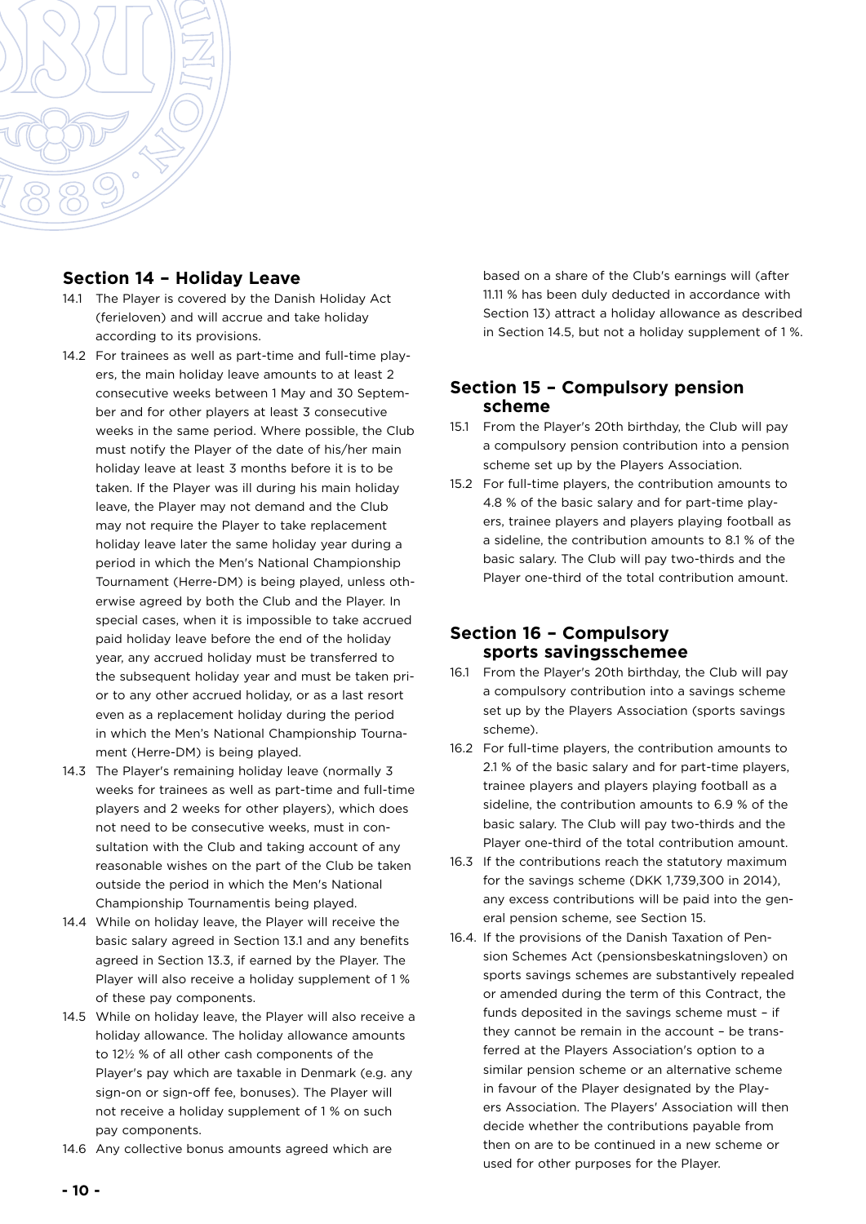

#### **Section 14 – Holiday Leave**

- 14.1 The Player is covered by the Danish Holiday Act (ferieloven) and will accrue and take holiday according to its provisions.
- 14.2 For trainees as well as part-time and full-time players, the main holiday leave amounts to at least 2 consecutive weeks between 1 May and 30 September and for other players at least 3 consecutive weeks in the same period. Where possible, the Club must notify the Player of the date of his/her main holiday leave at least 3 months before it is to be taken. If the Player was ill during his main holiday leave, the Player may not demand and the Club may not require the Player to take replacement holiday leave later the same holiday year during a period in which the Men's National Championship Tournament (Herre-DM) is being played, unless otherwise agreed by both the Club and the Player. In special cases, when it is impossible to take accrued paid holiday leave before the end of the holiday year, any accrued holiday must be transferred to the subsequent holiday year and must be taken prior to any other accrued holiday, or as a last resort even as a replacement holiday during the period in which the Men's National Championship Tournament (Herre-DM) is being played.
- 14.3 The Player's remaining holiday leave (normally 3 weeks for trainees as well as part-time and full-time players and 2 weeks for other players), which does not need to be consecutive weeks, must in consultation with the Club and taking account of any reasonable wishes on the part of the Club be taken outside the period in which the Men's National Championship Tournamentis being played.
- 14.4 While on holiday leave, the Player will receive the basic salary agreed in Section 13.1 and any benefits agreed in Section 13.3, if earned by the Player. The Player will also receive a holiday supplement of 1 % of these pay components.
- 14.5 While on holiday leave, the Player will also receive a holiday allowance. The holiday allowance amounts to 12½ % of all other cash components of the Player's pay which are taxable in Denmark (e.g. any sign-on or sign-off fee, bonuses). The Player will not receive a holiday supplement of 1 % on such pay components.
- 14.6 Any collective bonus amounts agreed which are

based on a share of the Club's earnings will (after 11.11 % has been duly deducted in accordance with Section 13) attract a holiday allowance as described in Section 14.5, but not a holiday supplement of 1 %.

#### **Section 15 – Compulsory pension scheme**

- 15.1 From the Player's 20th birthday, the Club will pay a compulsory pension contribution into a pension scheme set up by the Players Association.
- 15.2 For full-time players, the contribution amounts to 4.8 % of the basic salary and for part-time players, trainee players and players playing football as a sideline, the contribution amounts to 8.1 % of the basic salary. The Club will pay two-thirds and the Player one-third of the total contribution amount.

#### **Section 16 – Compulsory sports savingsschemee**

- 16.1 From the Player's 20th birthday, the Club will pay a compulsory contribution into a savings scheme set up by the Players Association (sports savings scheme).
- 16.2 For full-time players, the contribution amounts to 2.1 % of the basic salary and for part-time players, trainee players and players playing football as a sideline, the contribution amounts to 6.9 % of the basic salary. The Club will pay two-thirds and the Player one-third of the total contribution amount.
- 16.3 If the contributions reach the statutory maximum for the savings scheme (DKK 1,739,300 in 2014), any excess contributions will be paid into the general pension scheme, see Section 15.
- 16.4. If the provisions of the Danish Taxation of Pension Schemes Act (pensionsbeskatningsloven) on sports savings schemes are substantively repealed or amended during the term of this Contract, the funds deposited in the savings scheme must – if they cannot be remain in the account – be transferred at the Players Association's option to a similar pension scheme or an alternative scheme in favour of the Player designated by the Players Association. The Players' Association will then decide whether the contributions payable from then on are to be continued in a new scheme or used for other purposes for the Player.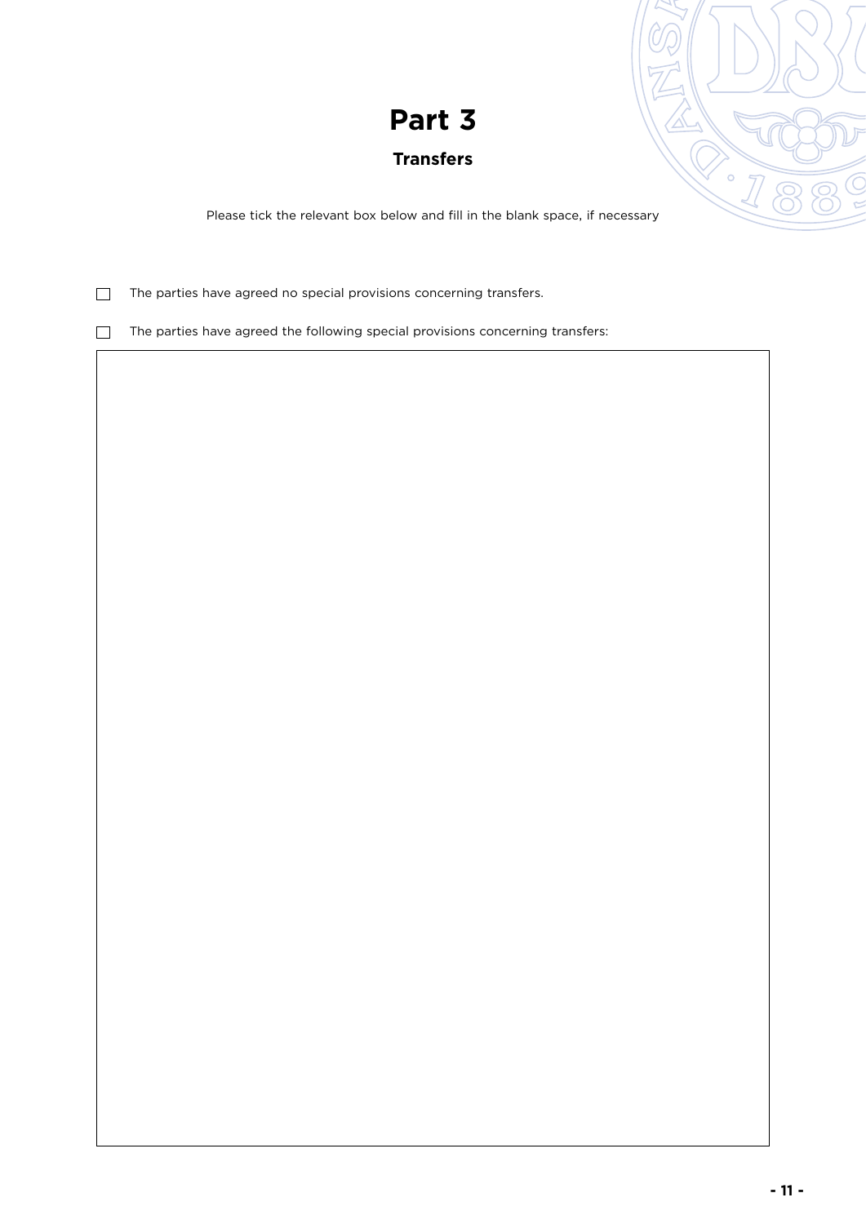# **Transfers**

Please tick the relevant box below and fill in the blank space, if necessary

 $\Box$  The parties have agreed no special provisions concerning transfers.

 $\Box$  The parties have agreed the following special provisions concerning transfers: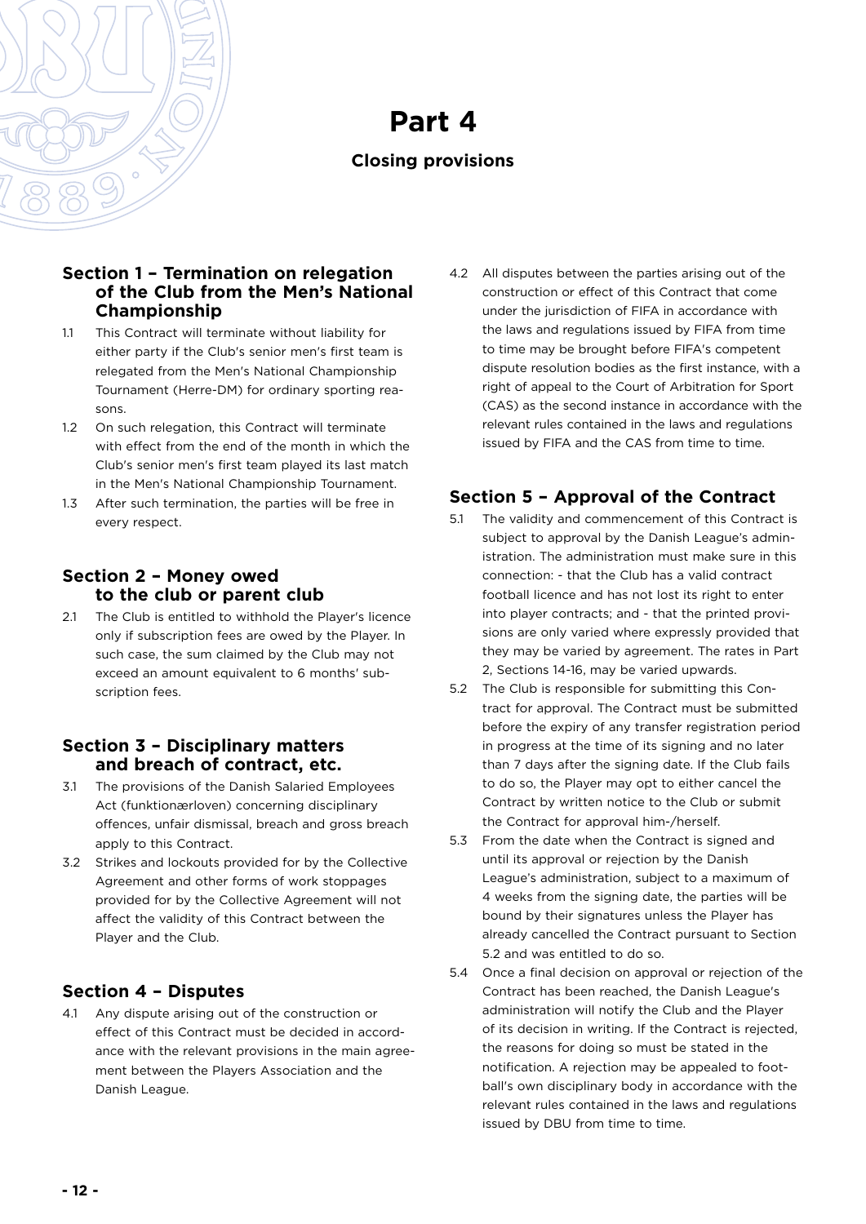

# **Closing provisions**

#### **Section 1 – Termination on relegation of the Club from the Men's National Championship**

- 1.1 This Contract will terminate without liability for either party if the Club's senior men's first team is relegated from the Men's National Championship Tournament (Herre-DM) for ordinary sporting reasons.
- 1.2 On such relegation, this Contract will terminate with effect from the end of the month in which the Club's senior men's first team played its last match in the Men's National Championship Tournament.
- 1.3 After such termination, the parties will be free in every respect.

# **Section 2 – Money owed to the club or parent club**

2.1 The Club is entitled to withhold the Player's licence only if subscription fees are owed by the Player. In such case, the sum claimed by the Club may not exceed an amount equivalent to 6 months' subscription fees.

### **Section 3 – Disciplinary matters and breach of contract, etc.**

- 3.1 The provisions of the Danish Salaried Employees Act (funktionærloven) concerning disciplinary offences, unfair dismissal, breach and gross breach apply to this Contract.
- 3.2 Strikes and lockouts provided for by the Collective Agreement and other forms of work stoppages provided for by the Collective Agreement will not affect the validity of this Contract between the Player and the Club.

# **Section 4 – Disputes**

4.1 Any dispute arising out of the construction or effect of this Contract must be decided in accordance with the relevant provisions in the main agreement between the Players Association and the Danish League.

4.2 All disputes between the parties arising out of the construction or effect of this Contract that come under the jurisdiction of FIFA in accordance with the laws and regulations issued by FIFA from time to time may be brought before FIFA's competent dispute resolution bodies as the first instance, with a right of appeal to the Court of Arbitration for Sport (CAS) as the second instance in accordance with the relevant rules contained in the laws and regulations issued by FIFA and the CAS from time to time.

# **Section 5 – Approval of the Contract**

- 5.1 The validity and commencement of this Contract is subject to approval by the Danish League's administration. The administration must make sure in this connection: - that the Club has a valid contract football licence and has not lost its right to enter into player contracts; and - that the printed provisions are only varied where expressly provided that they may be varied by agreement. The rates in Part 2, Sections 14-16, may be varied upwards.
- 5.2 The Club is responsible for submitting this Contract for approval. The Contract must be submitted before the expiry of any transfer registration period in progress at the time of its signing and no later than 7 days after the signing date. If the Club fails to do so, the Player may opt to either cancel the Contract by written notice to the Club or submit the Contract for approval him-/herself.
- 5.3 From the date when the Contract is signed and until its approval or rejection by the Danish League's administration, subject to a maximum of 4 weeks from the signing date, the parties will be bound by their signatures unless the Player has already cancelled the Contract pursuant to Section 5.2 and was entitled to do so.
- 5.4 Once a final decision on approval or rejection of the Contract has been reached, the Danish League's administration will notify the Club and the Player of its decision in writing. If the Contract is rejected, the reasons for doing so must be stated in the notification. A rejection may be appealed to football's own disciplinary body in accordance with the relevant rules contained in the laws and regulations issued by DBU from time to time.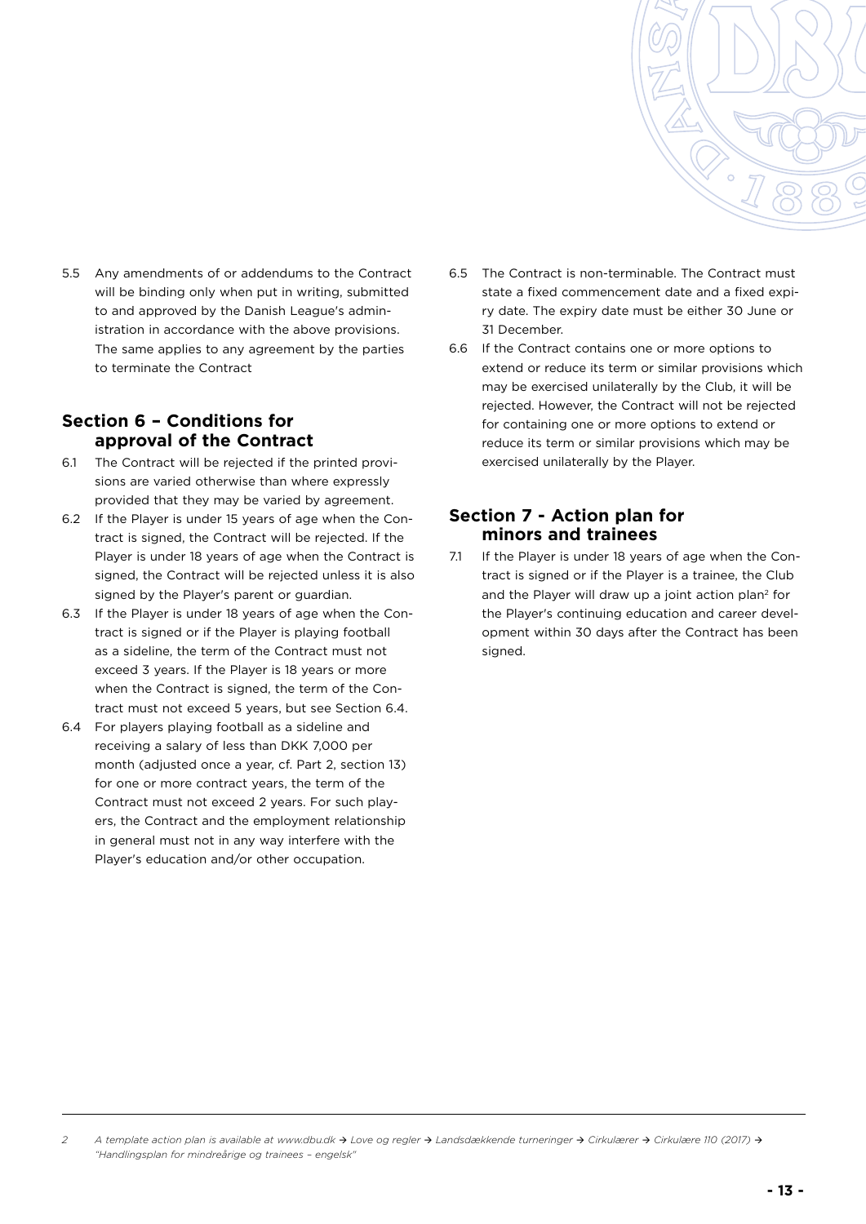

5.5 Any amendments of or addendums to the Contract will be binding only when put in writing, submitted to and approved by the Danish League's administration in accordance with the above provisions. The same applies to any agreement by the parties to terminate the Contract

## **Section 6 – Conditions for approval of the Contract**

- 6.1 The Contract will be rejected if the printed provisions are varied otherwise than where expressly provided that they may be varied by agreement.
- 6.2 If the Player is under 15 years of age when the Contract is signed, the Contract will be rejected. If the Player is under 18 years of age when the Contract is signed, the Contract will be rejected unless it is also signed by the Player's parent or guardian.
- 6.3 If the Player is under 18 years of age when the Contract is signed or if the Player is playing football as a sideline, the term of the Contract must not exceed 3 years. If the Player is 18 years or more when the Contract is signed, the term of the Contract must not exceed 5 years, but see Section 6.4.
- 6.4 For players playing football as a sideline and receiving a salary of less than DKK 7,000 per month (adjusted once a year, cf. Part 2, section 13) for one or more contract years, the term of the Contract must not exceed 2 years. For such players, the Contract and the employment relationship in general must not in any way interfere with the Player's education and/or other occupation.
- 6.5 The Contract is non-terminable. The Contract must state a fixed commencement date and a fixed expiry date. The expiry date must be either 30 June or 31 December.
- 6.6 If the Contract contains one or more options to extend or reduce its term or similar provisions which may be exercised unilaterally by the Club, it will be rejected. However, the Contract will not be rejected for containing one or more options to extend or reduce its term or similar provisions which may be exercised unilaterally by the Player.

#### **Section 7 - Action plan for minors and trainees**

7.1 If the Player is under 18 years of age when the Contract is signed or if the Player is a trainee, the Club and the Player will draw up a joint action plan<sup>2</sup> for the Player's continuing education and career development within 30 days after the Contract has been signed.

*<sup>2</sup> A template action plan is available at www.dbu.dk Love og regler  [Landsdækkende turneringer](https://www.dbu.dk/media/10156/cirkulaere-nr-110-bilag-handlingsplan-for-mindreaarige-spillere-og-trainees_dansk.pdf)  Cirkulærer Cirkulære 110 (2017) ["Handlingsplan for mindreårige og trainees – engelsk"](https://www.dbu.dk/media/10156/cirkulaere-nr-110-bilag-handlingsplan-for-mindreaarige-spillere-og-trainees_dansk.pdf)*